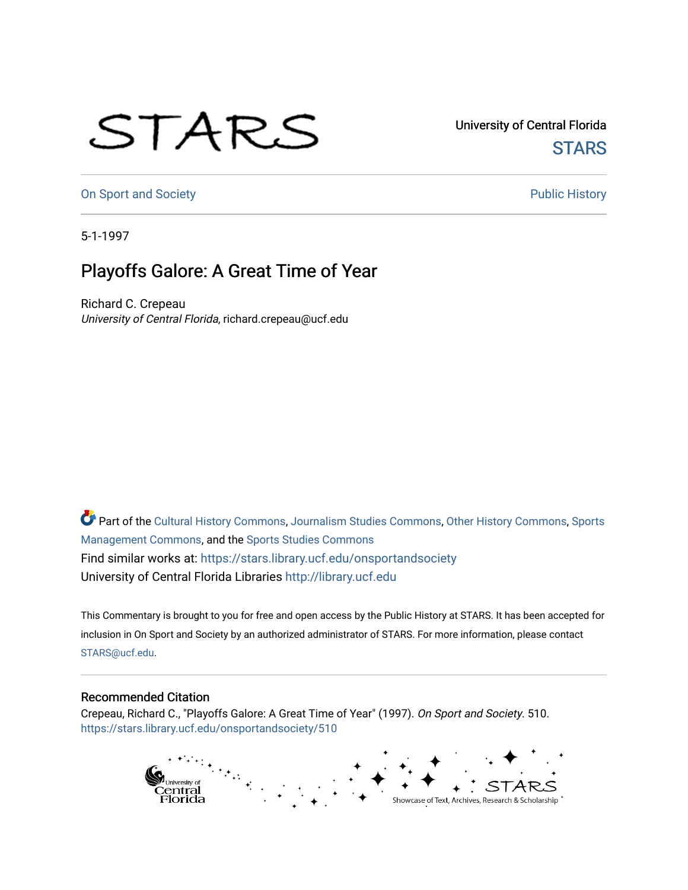## STARS

University of Central Florida **STARS** 

[On Sport and Society](https://stars.library.ucf.edu/onsportandsociety) **Public History** Public History

5-1-1997

## Playoffs Galore: A Great Time of Year

Richard C. Crepeau University of Central Florida, richard.crepeau@ucf.edu

Part of the [Cultural History Commons](http://network.bepress.com/hgg/discipline/496?utm_source=stars.library.ucf.edu%2Fonsportandsociety%2F510&utm_medium=PDF&utm_campaign=PDFCoverPages), [Journalism Studies Commons,](http://network.bepress.com/hgg/discipline/333?utm_source=stars.library.ucf.edu%2Fonsportandsociety%2F510&utm_medium=PDF&utm_campaign=PDFCoverPages) [Other History Commons,](http://network.bepress.com/hgg/discipline/508?utm_source=stars.library.ucf.edu%2Fonsportandsociety%2F510&utm_medium=PDF&utm_campaign=PDFCoverPages) [Sports](http://network.bepress.com/hgg/discipline/1193?utm_source=stars.library.ucf.edu%2Fonsportandsociety%2F510&utm_medium=PDF&utm_campaign=PDFCoverPages) [Management Commons](http://network.bepress.com/hgg/discipline/1193?utm_source=stars.library.ucf.edu%2Fonsportandsociety%2F510&utm_medium=PDF&utm_campaign=PDFCoverPages), and the [Sports Studies Commons](http://network.bepress.com/hgg/discipline/1198?utm_source=stars.library.ucf.edu%2Fonsportandsociety%2F510&utm_medium=PDF&utm_campaign=PDFCoverPages) Find similar works at: <https://stars.library.ucf.edu/onsportandsociety> University of Central Florida Libraries [http://library.ucf.edu](http://library.ucf.edu/) 

This Commentary is brought to you for free and open access by the Public History at STARS. It has been accepted for inclusion in On Sport and Society by an authorized administrator of STARS. For more information, please contact [STARS@ucf.edu](mailto:STARS@ucf.edu).

## Recommended Citation

Crepeau, Richard C., "Playoffs Galore: A Great Time of Year" (1997). On Sport and Society. 510. [https://stars.library.ucf.edu/onsportandsociety/510](https://stars.library.ucf.edu/onsportandsociety/510?utm_source=stars.library.ucf.edu%2Fonsportandsociety%2F510&utm_medium=PDF&utm_campaign=PDFCoverPages)

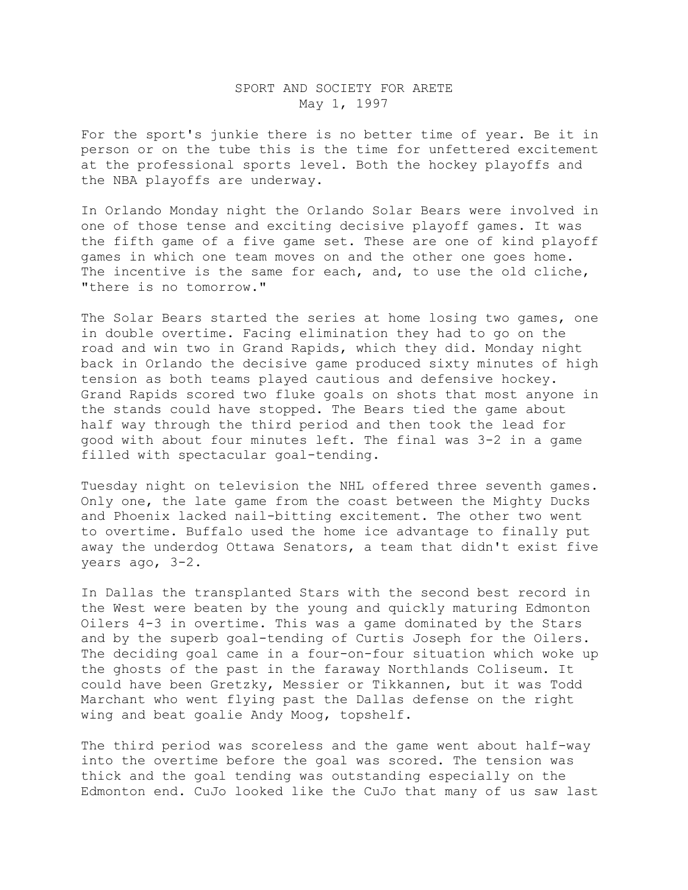## SPORT AND SOCIETY FOR ARETE May 1, 1997

For the sport's junkie there is no better time of year. Be it in person or on the tube this is the time for unfettered excitement at the professional sports level. Both the hockey playoffs and the NBA playoffs are underway.

In Orlando Monday night the Orlando Solar Bears were involved in one of those tense and exciting decisive playoff games. It was the fifth game of a five game set. These are one of kind playoff games in which one team moves on and the other one goes home. The incentive is the same for each, and, to use the old cliche, "there is no tomorrow."

The Solar Bears started the series at home losing two games, one in double overtime. Facing elimination they had to go on the road and win two in Grand Rapids, which they did. Monday night back in Orlando the decisive game produced sixty minutes of high tension as both teams played cautious and defensive hockey. Grand Rapids scored two fluke goals on shots that most anyone in the stands could have stopped. The Bears tied the game about half way through the third period and then took the lead for good with about four minutes left. The final was 3-2 in a game filled with spectacular goal-tending.

Tuesday night on television the NHL offered three seventh games. Only one, the late game from the coast between the Mighty Ducks and Phoenix lacked nail-bitting excitement. The other two went to overtime. Buffalo used the home ice advantage to finally put away the underdog Ottawa Senators, a team that didn't exist five years ago, 3-2.

In Dallas the transplanted Stars with the second best record in the West were beaten by the young and quickly maturing Edmonton Oilers 4-3 in overtime. This was a game dominated by the Stars and by the superb goal-tending of Curtis Joseph for the Oilers. The deciding goal came in a four-on-four situation which woke up the ghosts of the past in the faraway Northlands Coliseum. It could have been Gretzky, Messier or Tikkannen, but it was Todd Marchant who went flying past the Dallas defense on the right wing and beat goalie Andy Moog, topshelf.

The third period was scoreless and the game went about half-way into the overtime before the goal was scored. The tension was thick and the goal tending was outstanding especially on the Edmonton end. CuJo looked like the CuJo that many of us saw last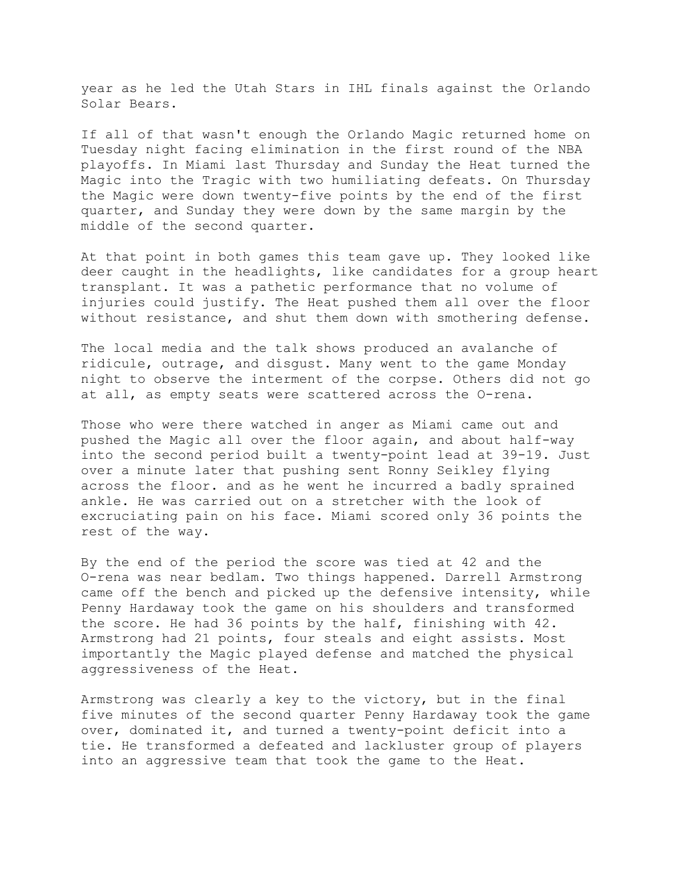year as he led the Utah Stars in IHL finals against the Orlando Solar Bears.

If all of that wasn't enough the Orlando Magic returned home on Tuesday night facing elimination in the first round of the NBA playoffs. In Miami last Thursday and Sunday the Heat turned the Magic into the Tragic with two humiliating defeats. On Thursday the Magic were down twenty-five points by the end of the first quarter, and Sunday they were down by the same margin by the middle of the second quarter.

At that point in both games this team gave up. They looked like deer caught in the headlights, like candidates for a group heart transplant. It was a pathetic performance that no volume of injuries could justify. The Heat pushed them all over the floor without resistance, and shut them down with smothering defense.

The local media and the talk shows produced an avalanche of ridicule, outrage, and disgust. Many went to the game Monday night to observe the interment of the corpse. Others did not go at all, as empty seats were scattered across the O-rena.

Those who were there watched in anger as Miami came out and pushed the Magic all over the floor again, and about half-way into the second period built a twenty-point lead at 39-19. Just over a minute later that pushing sent Ronny Seikley flying across the floor. and as he went he incurred a badly sprained ankle. He was carried out on a stretcher with the look of excruciating pain on his face. Miami scored only 36 points the rest of the way.

By the end of the period the score was tied at 42 and the O-rena was near bedlam. Two things happened. Darrell Armstrong came off the bench and picked up the defensive intensity, while Penny Hardaway took the game on his shoulders and transformed the score. He had 36 points by the half, finishing with 42. Armstrong had 21 points, four steals and eight assists. Most importantly the Magic played defense and matched the physical aggressiveness of the Heat.

Armstrong was clearly a key to the victory, but in the final five minutes of the second quarter Penny Hardaway took the game over, dominated it, and turned a twenty-point deficit into a tie. He transformed a defeated and lackluster group of players into an aggressive team that took the game to the Heat.